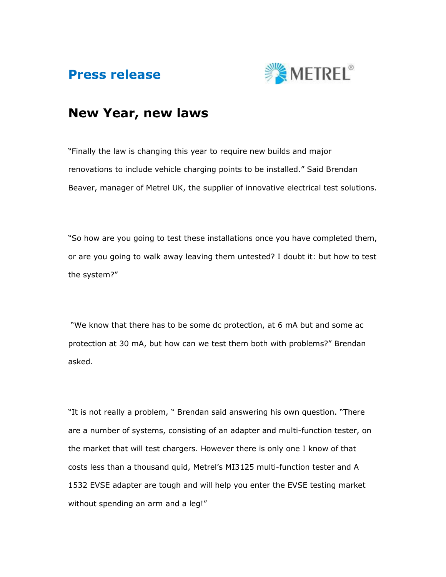



## New Year, new laws

"Finally the law is changing this year to require new builds and major renovations to include vehicle charging points to be installed." Said Brendan Beaver, manager of Metrel UK, the supplier of innovative electrical test solutions.

"So how are you going to test these installations once you have completed them, or are you going to walk away leaving them untested? I doubt it: but how to test the system?"

 "We know that there has to be some dc protection, at 6 mA but and some ac protection at 30 mA, but how can we test them both with problems?" Brendan asked.

"It is not really a problem, " Brendan said answering his own question. "There are a number of systems, consisting of an adapter and multi-function tester, on the market that will test chargers. However there is only one I know of that costs less than a thousand quid, Metrel's MI3125 multi-function tester and A 1532 EVSE adapter are tough and will help you enter the EVSE testing market without spending an arm and a leg!"